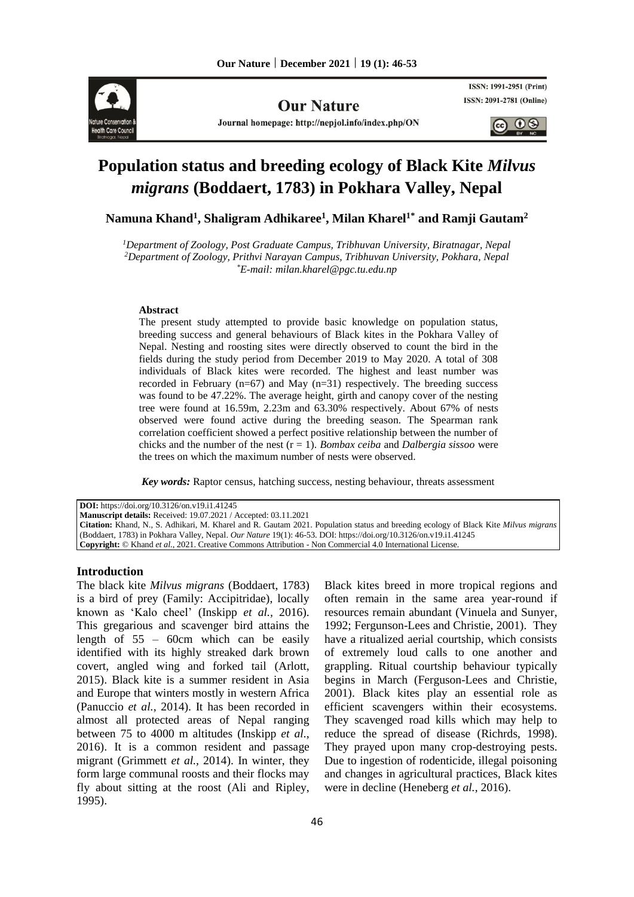

**Our Nature** 

Journal homepage: http://nepjol.info/index.php/ON

ISSN: 1991-2951 (Print) ISSN: 2091-2781 (Online)

 $0<sup>6</sup>$ 

# **Population status and breeding ecology of Black Kite** *Milvus migrans* **(Boddaert, 1783) in Pokhara Valley, Nepal**

**Namuna Khand<sup>1</sup> , Shaligram Adhikaree<sup>1</sup> , Milan Kharel1\* and Ramji Gautam<sup>2</sup>**

*<sup>1</sup>Department of Zoology, Post Graduate Campus, Tribhuvan University, Biratnagar, Nepal <sup>2</sup>Department of Zoology, Prithvi Narayan Campus, Tribhuvan University, Pokhara, Nepal \*E-mail[: milan.kharel@pgc.tu.edu.np](mailto:milan.kharel@pgc.tu.edu.np)*

#### **Abstract**

The present study attempted to provide basic knowledge on population status, breeding success and general behaviours of Black kites in the Pokhara Valley of Nepal. Nesting and roosting sites were directly observed to count the bird in the fields during the study period from December 2019 to May 2020. A total of 308 individuals of Black kites were recorded. The highest and least number was recorded in February ( $n=67$ ) and May ( $n=31$ ) respectively. The breeding success was found to be 47.22%. The average height, girth and canopy cover of the nesting tree were found at 16.59m, 2.23m and 63.30% respectively. About 67% of nests observed were found active during the breeding season. The Spearman rank correlation coefficient showed a perfect positive relationship between the number of chicks and the number of the nest (r = 1). *Bombax ceiba* and *Dalbergia sissoo* were the trees on which the maximum number of nests were observed.

*Key words:* Raptor census, hatching success, nesting behaviour, threats assessment

**DOI:** https://doi.org/10.3126/on.v19.i1.41245

**Manuscript details:** Received: 19.07.2021 / Accepted: 03.11.2021

**Citation:** Khand, N., S. Adhikari, M. Kharel and R. Gautam 2021. Population status and breeding ecology of Black Kite *Milvus migrans*  (Boddaert, 1783) in Pokhara Valley, Nepal. *Our Nature* 19(1): 46-53. DOI: https://doi.org/10.3126/on.v19.i1.41245 **Copyright:** © Khand *et al.,* 2021. Creative Commons Attribution - Non Commercial 4.0 International License.

#### **Introduction**

The black kite *Milvus migrans* (Boddaert, 1783) is a bird of prey (Family: Accipitridae), locally known as 'Kalo cheel' (Inskipp *et al.,* 2016). This gregarious and scavenger bird attains the length of  $55 - 60$ cm which can be easily identified with its highly streaked dark brown covert, angled wing and forked tail (Arlott, 2015). Black kite is a summer resident in Asia and Europe that winters mostly in western Africa (Panuccio *et al.,* 2014). It has been recorded in almost all protected areas of Nepal ranging between 75 to 4000 m altitudes (Inskipp *et al.,* 2016). It is a common resident and passage migrant (Grimmett *et al.,* 2014). In winter, they form large communal roosts and their flocks may fly about sitting at the roost (Ali and Ripley, 1995).

Black kites breed in more tropical regions and often remain in the same area year-round if resources remain abundant (Vinuela and Sunyer, 1992; Fergunson-Lees and Christie, 2001). They have a ritualized aerial courtship, which consists of extremely loud calls to one another and grappling. Ritual courtship behaviour typically begins in March (Ferguson-Lees and Christie, 2001). Black kites play an essential role as efficient scavengers within their ecosystems. They scavenged road kills which may help to reduce the spread of disease (Richrds, 1998). They prayed upon many crop-destroying pests. Due to ingestion of rodenticide, illegal poisoning and changes in agricultural practices, Black kites were in decline (Heneberg *et al.,* 2016).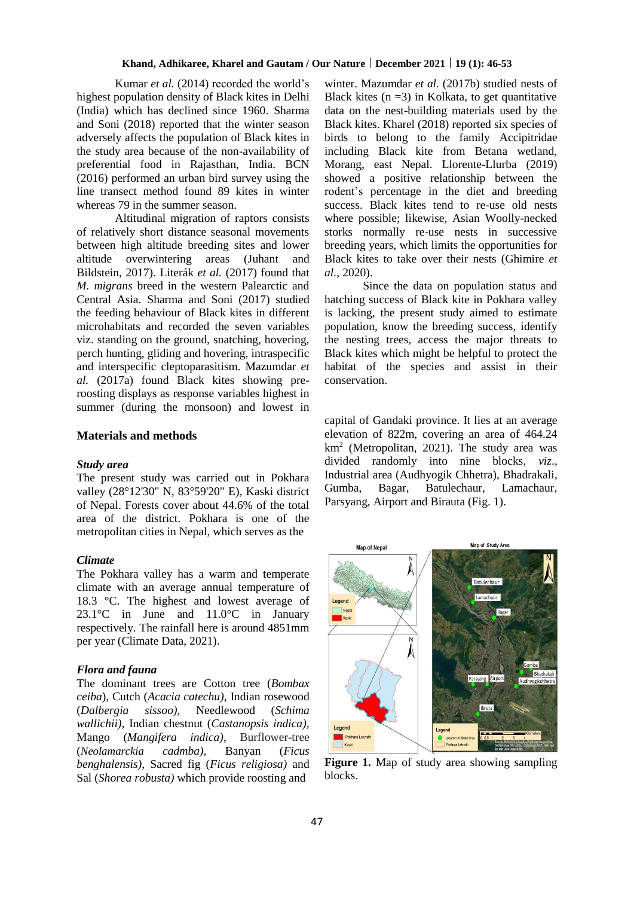Kumar *et al.* (2014) recorded the world's highest population density of Black kites in Delhi (India) which has declined since 1960. Sharma and Soni (2018) reported that the winter season adversely affects the population of Black kites in the study area because of the non-availability of preferential food in Rajasthan, India. BCN (2016) performed an urban bird survey using the line transect method found 89 kites in winter whereas 79 in the summer season.

Altitudinal migration of raptors consists of relatively short distance seasonal movements between high altitude breeding sites and lower altitude overwintering areas (Juhant and Bildstein, 2017). Literák *et al.* (2017) found that *M. migrans* breed in the western Palearctic and Central Asia. Sharma and Soni (2017) studied the feeding behaviour of Black kites in different microhabitats and recorded the seven variables viz. standing on the ground, snatching, hovering, perch hunting, gliding and hovering, intraspecific and interspecific cleptoparasitism. Mazumdar *et al.* (2017a) found Black kites showing preroosting displays as response variables highest in summer (during the monsoon) and lowest in

## **Materials and methods**

#### *Study area*

The present study was carried out in Pokhara valley (28°12'30" N, 83°59'20" E), Kaski district of Nepal. Forests cover about 44.6% of the total area of the district. Pokhara is one of the metropolitan cities in Nepal, which serves as the

#### *Climate*

The Pokhara valley has a warm and temperate climate with an average annual temperature of 18.3 °C. The highest and lowest average of 23.1°C in June and 11.0°C in January respectively. The rainfall here is around 4851mm per year (Climate Data, 2021).

#### *Flora and fauna*

The dominant trees are Cotton tree (*Bombax ceiba*), Cutch (*Acacia catechu)*, Indian rosewood (*Dalbergia sissoo),* Needlewood (*Schima wallichii)*, Indian chestnut (*Castanopsis indica)*, Mango (*Mangifera indica)*, Burflower-tree (*[Neolamarckia](https://en.wikipedia.org/wiki/Neolamarckia) cadmba)*, Banyan (*Ficus benghalensis)*, Sacred fig (*Ficus religiosa)* and Sal (*Shorea robusta)* which provide roosting and

winter. Mazumdar *et al.* (2017b) studied nests of Black kites  $(n = 3)$  in Kolkata, to get quantitative data on the nest-building materials used by the Black kites. Kharel (2018) reported six species of birds to belong to the family Accipitridae including Black kite from Betana wetland, Morang, east Nepal. Llorente-Llurba (2019) showed a positive relationship between the rodent's percentage in the diet and breeding success. Black kites tend to re-use old nests where possible; likewise, Asian Woolly-necked storks normally re-use nests in successive breeding years, which limits the opportunities for Black kites to take over their nests (Ghimire *et al.,* 2020).

Since the data on population status and hatching success of Black kite in Pokhara valley is lacking, the present study aimed to estimate population, know the breeding success, identify the nesting trees, access the major threats to Black kites which might be helpful to protect the habitat of the species and assist in their conservation.

capital of Gandaki province. It lies at an average elevation of 822m, covering an area of 464.24 km<sup>2</sup> (Metropolitan, 2021). The study area was divided randomly into nine blocks, *viz*., Industrial area (Audhyogik Chhetra), Bhadrakali, Gumba, Bagar, Batulechaur, Lamachaur, Parsyang, Airport and Birauta (Fig. 1).



**Figure 1.** Map of study area showing sampling blocks.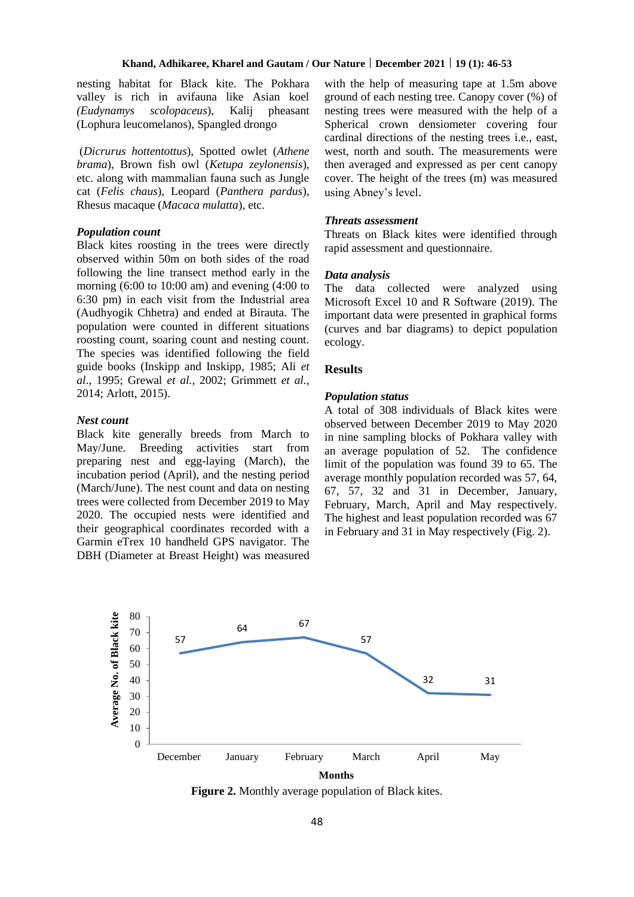nesting habitat for Black kite. The Pokhara valley is rich in avifauna like Asian koel *(Eudynamys scolopaceus*), Kalij pheasant (Lophura leucomelanos), Spangled drongo

(*Dicrurus hottentottus*), Spotted owlet (*Athene brama*), Brown fish owl (*Ketupa zeylonensis*), etc. along with mammalian fauna such as Jungle cat (*Felis chaus*), Leopard (*Panthera pardus*), Rhesus macaque (*Macaca mulatta*), etc.

#### *Population count*

Black kites roosting in the trees were directly observed within 50m on both sides of the road following the line transect method early in the morning (6:00 to 10:00 am) and evening (4:00 to 6:30 pm) in each visit from the Industrial area (Audhyogik Chhetra) and ended at Birauta. The population were counted in different situations roosting count, soaring count and nesting count. The species was identified following the field guide books (Inskipp and Inskipp, 1985; Ali *et al*., 1995; Grewal *et al.,* 2002; Grimmett *et al.,* 2014; Arlott, 2015).

#### *Nest count*

Black kite generally breeds from March to May/June. Breeding activities start from preparing nest and egg-laying (March), the incubation period (April), and the nesting period (March/June). The nest count and data on nesting trees were collected from December 2019 to May 2020. The occupied nests were identified and their geographical coordinates recorded with a Garmin eTrex 10 handheld GPS navigator. The DBH (Diameter at Breast Height) was measured

with the help of measuring tape at 1.5m above ground of each nesting tree. Canopy cover (%) of nesting trees were measured with the help of a Spherical crown densiometer covering four cardinal directions of the nesting trees i.e., east, west, north and south. The measurements were then averaged and expressed as per cent canopy cover. The height of the trees (m) was measured using Abney's level.

#### *Threats assessment*

Threats on Black kites were identified through rapid assessment and questionnaire.

## *Data analysis*

The data collected were analyzed using Microsoft Excel 10 and R Software (2019). The important data were presented in graphical forms (curves and bar diagrams) to depict population ecology.

### **Results**

#### *Population status*

A total of 308 individuals of Black kites were observed between December 2019 to May 2020 in nine sampling blocks of Pokhara valley with an average population of 52. The confidence limit of the population was found 39 to 65. The average monthly population recorded was 57, 64, 67, 57, 32 and 31 in December, January, February, March, April and May respectively. The highest and least population recorded was 67 in February and 31 in May respectively (Fig. 2).



**Figure 2.** Monthly average population of Black kites.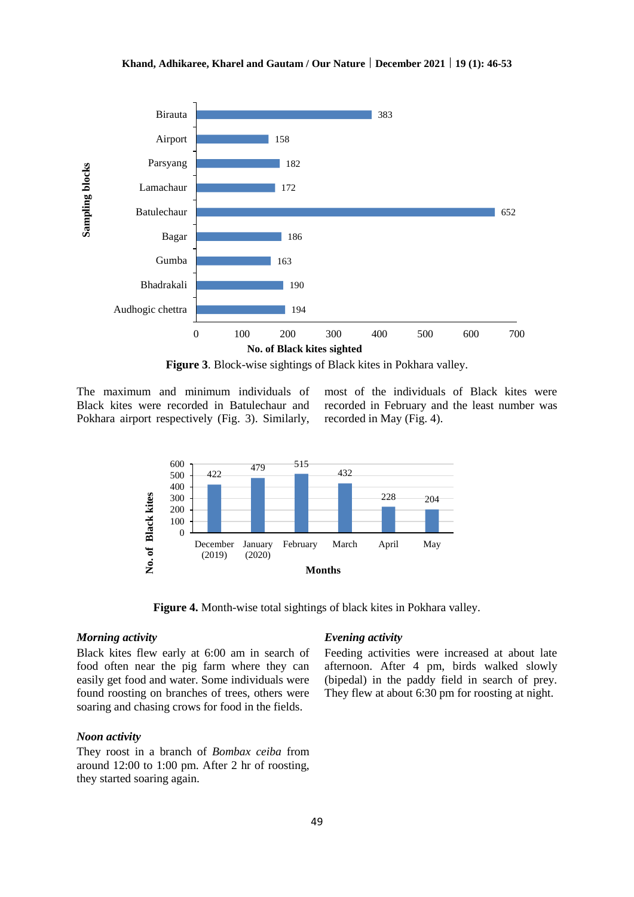

**Figure 3**. Block-wise sightings of Black kites in Pokhara valley.

The maximum and minimum individuals of Black kites were recorded in Batulechaur and Pokhara airport respectively (Fig. 3). Similarly,

most of the individuals of Black kites were recorded in February and the least number was recorded in May (Fig. 4).



**Figure 4.** Month-wise total sightings of black kites in Pokhara valley.

## *Morning activity*

Black kites flew early at 6:00 am in search of food often near the pig farm where they can easily get food and water. Some individuals were found roosting on branches of trees, others were soaring and chasing crows for food in the fields.

#### *Noon activity*

They roost in a branch of *Bombax ceiba* from around 12:00 to 1:00 pm. After 2 hr of roosting, they started soaring again.

#### *Evening activity*

Feeding activities were increased at about late afternoon. After 4 pm, birds walked slowly (bipedal) in the paddy field in search of prey. They flew at about 6:30 pm for roosting at night.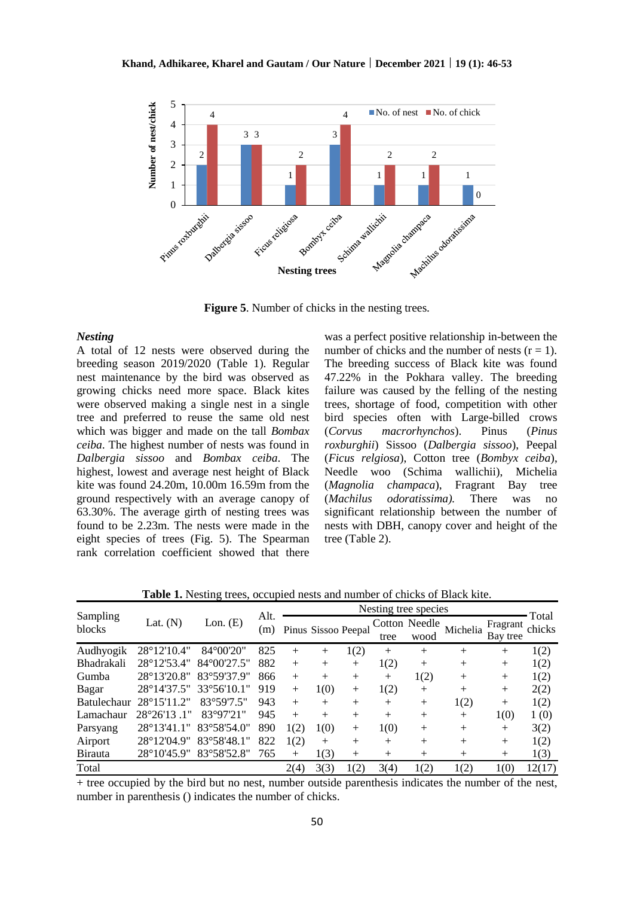

**Figure 5**. Number of chicks in the nesting trees.

#### *Nesting*

A total of 12 nests were observed during the breeding season 2019/2020 (Table 1). Regular nest maintenance by the bird was observed as growing chicks need more space. Black kites were observed making a single nest in a single tree and preferred to reuse the same old nest which was bigger and made on the tall *Bombax ceiba*. The highest number of nests was found in *Dalbergia sissoo* and *Bombax ceiba*. The highest, lowest and average nest height of Black kite was found 24.20m, 10.00m 16.59m from the ground respectively with an average canopy of 63.30%. The average girth of nesting trees was found to be 2.23m. The nests were made in the eight species of trees (Fig. 5). The Spearman rank correlation coefficient showed that there

was a perfect positive relationship in-between the number of chicks and the number of nests  $(r = 1)$ . The breeding success of Black kite was found 47.22% in the Pokhara valley. The breeding failure was caused by the felling of the nesting trees, shortage of food, competition with other bird species often with Large-billed crows (*Corvus macrorhynchos*). Pinus (*Pinus roxburghii*) Sissoo (*Dalbergia sissoo*), Peepal (*Ficus relgiosa*), Cotton tree (*Bombyx ceiba*), Needle woo (Schima wallichii), Michelia (*Magnolia champaca*), Fragrant Bay tree (*Machilus odoratissima).* There was no significant relationship between the number of nests with DBH, canopy cover and height of the tree (Table 2).

**Table 1.** Nesting trees, occupied nests and number of chicks of Black kite.

| Sampling<br>blocks | Lat. $(N)$           | Lon. $(E)$           | Alt.<br>(m) | Nesting tree species |        |                     |        |                       |          |                      |                 |
|--------------------|----------------------|----------------------|-------------|----------------------|--------|---------------------|--------|-----------------------|----------|----------------------|-----------------|
|                    |                      |                      |             |                      |        | Pinus Sissoo Peepal | tree   | Cotton Needle<br>wood | Michelia | Fragrant<br>Bay tree | Total<br>chicks |
| Audhyogik          | 28°12'10.4"          | 84°00'20"            | 825         | $^{+}$               | $^{+}$ | 1(2)                | $^{+}$ | $^{+}$                | $^{+}$   | $^{+}$               | 1(2)            |
| <b>Bhadrakali</b>  | 28°12'53.4"          | $84^{\circ}00'27.5"$ | 882         | $^{+}$               | $^{+}$ | $^{+}$              | 1(2)   | $^{+}$                | $^{+}$   | $^{+}$               | 1(2)            |
| Gumba              | 28°13'20.8"          | 83°59'37.9"          | 866         | $+$                  | $^{+}$ | $^{+}$              | $^{+}$ | 1(2)                  | $^{+}$   | $^{+}$               | 1(2)            |
| Bagar              | 28°14'37.5"          | 33°56'10.1"          | 919         | $^{+}$               | 1(0)   | $^{+}$              | 1(2)   | $^{+}$                | $^{+}$   | $^{+}$               | 2(2)            |
| <b>Batulechaur</b> | 28°15'11.2"          | 83°59'7.5"           | 943         | $+$                  | $^{+}$ | $^{+}$              | $^{+}$ | $^{+}$                | 1(2)     | $^{+}$               | 1(2)            |
| Lamachaur          | 28°26'13.1"          | 83°97'21"            | 945         | $+$                  | $+$    | $^{+}$              | $^{+}$ | $^{+}$                | $^{+}$   | 1(0)                 | 1(0)            |
| Parsyang           | $28^{\circ}13'41.1"$ | $83^{\circ}58'54.0"$ | 890         | 1(2)                 | 1(0)   | $+$                 | 1(0)   | $+$                   | $^{+}$   | $^{+}$               | 3(2)            |
| Airport            | $28^{\circ}12'04.9"$ | 83°58'48.1"          | 822         | 1(2)                 | $^{+}$ | $^{+}$              | $^{+}$ | $^{+}$                | $^{+}$   | $^{+}$               | 1(2)            |
| <b>Birauta</b>     | 28°10'45.9"          | 83°58'52.8"          | 765         | $^{+}$               | 1(3)   | $^{+}$              | $^{+}$ | $^{+}$                | $^{+}$   | $^{+}$               | 1(3)            |
| Total              |                      |                      |             | 2(4)                 | 3(3)   | 1(2)                | 3(4)   | 1(2)                  | 1(2)     | 1(0)                 | 12(17)          |

+ tree occupied by the bird but no nest, number outside parenthesis indicates the number of the nest, number in parenthesis () indicates the number of chicks.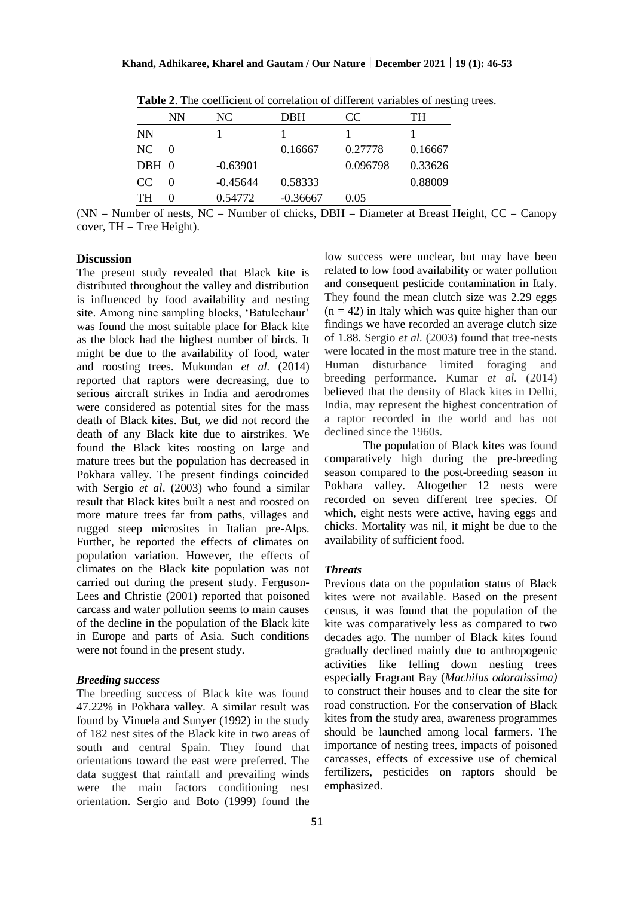|           | NN                | NC.        | DBH        | CC       | TH      |
|-----------|-------------------|------------|------------|----------|---------|
| <b>NN</b> |                   |            |            |          |         |
| NC.       | $\Omega$          |            | 0.16667    | 0.27778  | 0.16667 |
| DBH 0     |                   | $-0.63901$ |            | 0.096798 | 0.33626 |
| CC.       | $\mathbf{\Omega}$ | $-0.45644$ | 0.58333    |          | 0.88009 |
| TH        | 0                 | 0.54772    | $-0.36667$ | 0.05     |         |

**Table 2**. The coefficient of correlation of different variables of nesting trees.

 $(NN =$  Number of nests, NC = Number of chicks, DBH = Diameter at Breast Height, CC = Canopy cover,  $TH = Tree Height)$ .

#### **Discussion**

The present study revealed that Black kite is distributed throughout the valley and distribution is influenced by food availability and nesting site. Among nine sampling blocks, 'Batulechaur' was found the most suitable place for Black kite as the block had the highest number of birds. It might be due to the availability of food, water and roosting trees. Mukundan *et al.* (2014) reported that raptors were decreasing, due to serious aircraft strikes in India and aerodromes were considered as potential sites for the mass death of Black kites. But, we did not record the death of any Black kite due to airstrikes. We found the Black kites roosting on large and mature trees but the population has decreased in Pokhara valley. The present findings coincided with Sergio *et al*. (2003) who found a similar result that Black kites built a nest and roosted on more mature trees far from paths, villages and rugged steep microsites in Italian pre-Alps. Further, he reported the effects of climates on population variation. However, the effects of climates on the Black kite population was not carried out during the present study. Ferguson-Lees and Christie (2001) reported that poisoned carcass and water pollution seems to main causes of the decline in the population of the Black kite in Europe and parts of Asia. Such conditions were not found in the present study.

#### *Breeding success*

The breeding success of Black kite was found 47.22% in Pokhara valley. A similar result was found by Vinuela and Sunyer (1992) in the study of 182 nest sites of the Black kite in two areas of south and central Spain. They found that orientations toward the east were preferred. The data suggest that rainfall and prevailing winds were the main factors conditioning nest orientation. Sergio and Boto (1999) found the

low success were unclear, but may have been related to low food availability or water pollution and consequent pesticide contamination in Italy. They found the mean clutch size was 2.29 eggs  $(n = 42)$  in Italy which was quite higher than our findings we have recorded an average clutch size of 1.88. Sergio *et al.* (2003) found that tree-nests were located in the most mature tree in the stand. Human disturbance limited foraging and breeding performance. Kumar *et al.* (2014) believed that the density of Black kites in Delhi, India, may represent the highest concentration of a raptor recorded in the world and has not declined since the 1960s.

The population of Black kites was found comparatively high during the pre-breeding season compared to the post-breeding season in Pokhara valley. Altogether 12 nests were recorded on seven different tree species. Of which, eight nests were active, having eggs and chicks. Mortality was nil, it might be due to the availability of sufficient food.

#### *Threats*

Previous data on the population status of Black kites were not available. Based on the present census, it was found that the population of the kite was comparatively less as compared to two decades ago. The number of Black kites found gradually declined mainly due to anthropogenic activities like felling down nesting trees especially Fragrant Bay (*Machilus odoratissima)* to construct their houses and to clear the site for road construction. For the conservation of Black kites from the study area, awareness programmes should be launched among local farmers. The importance of nesting trees, impacts of poisoned carcasses, effects of excessive use of chemical fertilizers, pesticides on raptors should be emphasized.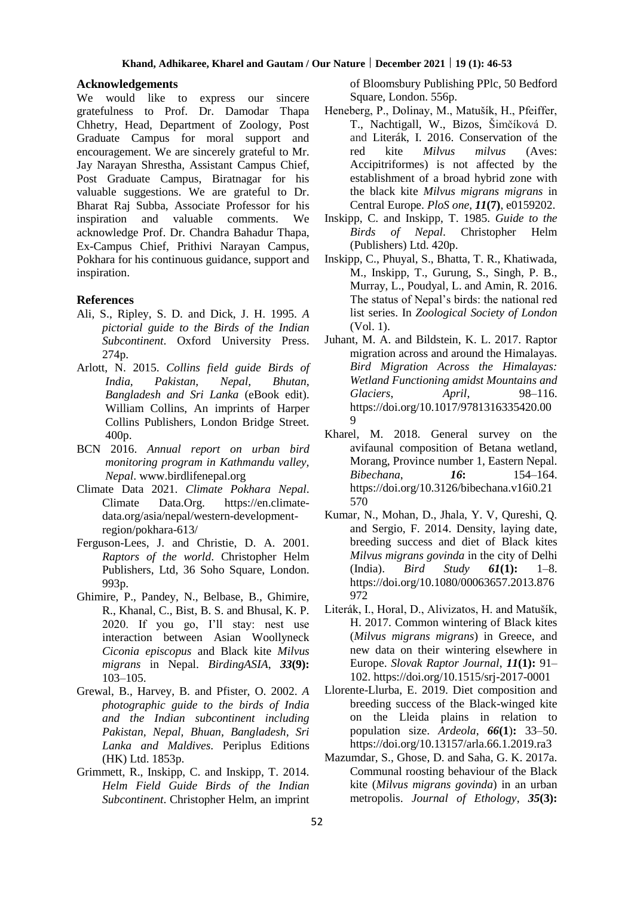#### **Acknowledgements**

We would like to express our sincere gratefulness to Prof. Dr. Damodar Thapa Chhetry, Head, Department of Zoology, Post Graduate Campus for moral support and encouragement. We are sincerely grateful to Mr. Jay Narayan Shrestha, Assistant Campus Chief, Post Graduate Campus, Biratnagar for his valuable suggestions. We are grateful to Dr. Bharat Raj Subba, Associate Professor for his inspiration and valuable comments. We acknowledge Prof. Dr. Chandra Bahadur Thapa, Ex-Campus Chief, Prithivi Narayan Campus, Pokhara for his continuous guidance, support and inspiration.

## **References**

- Ali, S., Ripley, S. D. and Dick, J. H. 1995. *A pictorial guide to the Birds of the Indian Subcontinent*. Oxford University Press. 274p.
- Arlott, N. 2015. *Collins field guide Birds of India, Pakistan, Nepal, Bhutan, Bangladesh and Sri Lanka* (eBook edit). William Collins, An imprints of Harper Collins Publishers, London Bridge Street. 400p.
- BCN 2016. *Annual report on urban bird monitoring program in Kathmandu valley, Nepal*. [www.birdlifenepal.org](http://www.birdlifenepal.org/)
- Climate Data 2021. *Climate Pokhara Nepal*. Climate Data.Org. [https://en.climate](https://en.climate-data.org/asia/nepal/western-development-region/pokhara-613/)[data.org/asia/nepal/western-development](https://en.climate-data.org/asia/nepal/western-development-region/pokhara-613/)[region/pokhara-613/](https://en.climate-data.org/asia/nepal/western-development-region/pokhara-613/)
- Ferguson-Lees, J. and Christie, D. A. 2001. *Raptors of the world*. Christopher Helm Publishers, Ltd, 36 Soho Square, London. 993p.
- Ghimire, P., Pandey, N., Belbase, B., Ghimire, R., Khanal, C., Bist, B. S. and Bhusal, K. P. 2020. If you go, I'll stay: nest use interaction between Asian Woollyneck *Ciconia episcopus* and Black kite *Milvus migrans* in Nepal. *BirdingASIA*, *33***(9):** 103–105.
- Grewal, B., Harvey, B. and Pfister, O. 2002. *A photographic guide to the birds of India and the Indian subcontinent including Pakistan, Nepal, Bhuan, Bangladesh, Sri Lanka and Maldives*. Periplus Editions (HK) Ltd. 1853p.
- Grimmett, R., Inskipp, C. and Inskipp, T. 2014. *Helm Field Guide Birds of the Indian Subcontinent*. Christopher Helm, an imprint

of Bloomsbury Publishing PPlc, 50 Bedford Square, London. 556p.

- Heneberg, P., Dolinay, M., Matušík, H., Pfeiffer, T., Nachtigall, W., Bizos, Šimčíková D. and Literák, I. 2016. Conservation of the red kite *Milvus milvus* (Aves: Accipitriformes) is not affected by the establishment of a broad hybrid zone with the black kite *Milvus migrans migrans* in Central Europe. *PloS one*, *11***(7)**, e0159202.
- Inskipp, C. and Inskipp, T. 1985. *Guide to the Birds of Nepal*. Christopher Helm (Publishers) Ltd. 420p.
- Inskipp, C., Phuyal, S., Bhatta, T. R., Khatiwada, M., Inskipp, T., Gurung, S., Singh, P. B., Murray, L., Poudyal, L. and Amin, R. 2016. The status of Nepal's birds: the national red list series. In *Zoological Society of London* (Vol. 1).
- Juhant, M. A. and Bildstein, K. L. 2017. Raptor migration across and around the Himalayas. *Bird Migration Across the Himalayas: Wetland Functioning amidst Mountains and Glaciers*, *April*, 98–116. https://doi.org/10.1017/9781316335420.00  $\Omega$
- Kharel, M. 2018. General survey on the avifaunal composition of Betana wetland, Morang, Province number 1, Eastern Nepal. *Bibechana*, *16***:** 154–164. https://doi.org/10.3126/bibechana.v16i0.21 570
- Kumar, N., Mohan, D., Jhala, Y. V, Qureshi, Q. and Sergio, F. 2014. Density, laying date, breeding success and diet of Black kites *Milvus migrans govinda* in the city of Delhi (India). *Bird Study 61***(1):** 1–8. https://doi.org/10.1080/00063657.2013.876 972
- Literák, I., Horal, D., Alivizatos, H. and Matušík, H. 2017. Common wintering of Black kites (*Milvus migrans migrans*) in Greece, and new data on their wintering elsewhere in Europe. *Slovak Raptor Journal*, *11***(1):** 91– 102. https://doi.org/10.1515/srj-2017-0001
- Llorente-Llurba, E. 2019. Diet composition and breeding success of the Black-winged kite on the Lleida plains in relation to population size. *Ardeola*, *66***(1**)**:** 33–50. https://doi.org/10.13157/arla.66.1.2019.ra3
- Mazumdar, S., Ghose, D. and Saha, G. K. 2017a. Communal roosting behaviour of the Black kite (*Milvus migrans govinda*) in an urban metropolis. *Journal of Ethology*, *35***(3):**